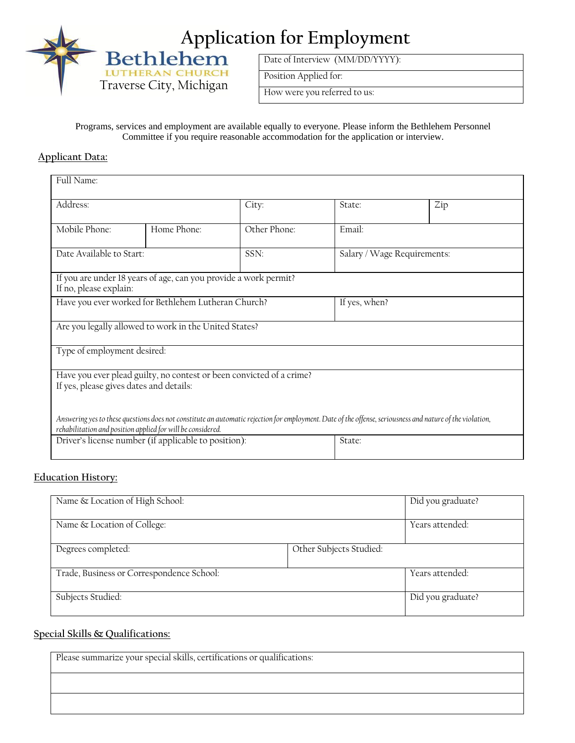

Traverse City, Michigan

Date of Interview (MM/DD/YYYY):

Position Applied for:

How were you referred to us:

Programs, services and employment are available equally to everyone. Please inform the Bethlehem Personnel Committee if you require reasonable accommodation for the application or interview.

## **Applicant Data:**

| Full Name:                                                                                                                                                                                                               |             |              |                             |     |
|--------------------------------------------------------------------------------------------------------------------------------------------------------------------------------------------------------------------------|-------------|--------------|-----------------------------|-----|
| Address:                                                                                                                                                                                                                 |             | City:        | State:                      | Zip |
| Mobile Phone:                                                                                                                                                                                                            | Home Phone: | Other Phone: | Email:                      |     |
| Date Available to Start:                                                                                                                                                                                                 |             | SSN:         | Salary / Wage Requirements: |     |
| If you are under 18 years of age, can you provide a work permit?<br>If no, please explain:                                                                                                                               |             |              |                             |     |
| Have you ever worked for Bethlehem Lutheran Church?                                                                                                                                                                      |             |              | If yes, when?               |     |
| Are you legally allowed to work in the United States?                                                                                                                                                                    |             |              |                             |     |
| Type of employment desired:                                                                                                                                                                                              |             |              |                             |     |
| Have you ever plead guilty, no contest or been convicted of a crime?<br>If yes, please gives dates and details:                                                                                                          |             |              |                             |     |
| Answering yes to these questions does not constitute an automatic rejection for employment. Date of the offense, seriousness and nature of the violation,<br>rehabilitation and position applied for will be considered. |             |              |                             |     |
| Driver's license number (if applicable to position):                                                                                                                                                                     |             | State:       |                             |     |

## **Education History:**

| Name & Location of High School:           |                         | Did you graduate? |
|-------------------------------------------|-------------------------|-------------------|
|                                           |                         |                   |
| Name & Location of College:               |                         | Years attended:   |
|                                           |                         |                   |
| Degrees completed:                        | Other Subjects Studied: |                   |
|                                           |                         |                   |
| Trade, Business or Correspondence School: |                         | Years attended:   |
|                                           |                         |                   |
| Subjects Studied:                         |                         | Did you graduate? |
|                                           |                         |                   |

## **Special Skills & Qualifications:**

| Please summarize your special skills, certifications or qualifications: |
|-------------------------------------------------------------------------|
|                                                                         |
|                                                                         |